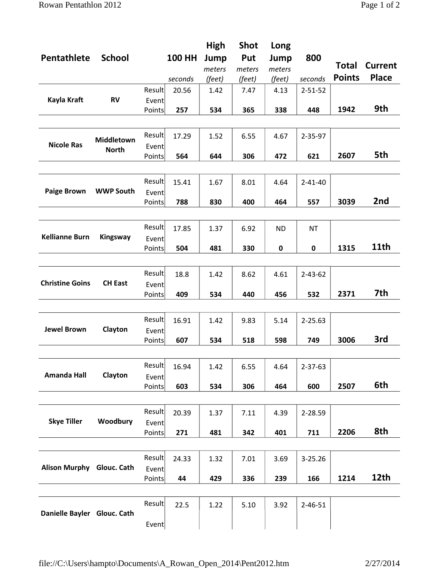| Pentathlete                 | <b>School</b>              |                 | <b>100 HH</b><br>seconds | High<br>Jump<br>meters<br>(feet) | <b>Shot</b><br>Put<br>meters<br>(feet) | Long<br>Jump<br>meters<br>(feet) | 800<br>seconds | Total<br><b>Points</b> | <b>Current</b><br><b>Place</b> |
|-----------------------------|----------------------------|-----------------|--------------------------|----------------------------------|----------------------------------------|----------------------------------|----------------|------------------------|--------------------------------|
| Kayla Kraft                 | <b>RV</b>                  | Result          | 20.56                    | 1.42                             | 7.47                                   | 4.13                             | $2 - 51 - 52$  |                        |                                |
|                             |                            | Event           |                          |                                  |                                        |                                  |                |                        |                                |
|                             |                            | Points          | 257                      | 534                              | 365                                    | 338                              | 448            | 1942                   | 9th                            |
|                             |                            |                 |                          |                                  |                                        |                                  |                |                        |                                |
| <b>Nicole Ras</b>           | Middletown<br><b>North</b> | Result<br>Event | 17.29                    | 1.52                             | 6.55                                   | 4.67                             | $2 - 35 - 97$  |                        |                                |
|                             |                            | Points          | 564                      | 644                              | 306                                    | 472                              | 621            | 2607                   | 5th                            |
|                             |                            |                 |                          |                                  |                                        |                                  |                |                        |                                |
|                             |                            |                 |                          |                                  |                                        |                                  |                |                        |                                |
|                             | <b>WWP South</b>           | Result          | 15.41                    | 1.67                             | 8.01                                   | 4.64                             | $2 - 41 - 40$  |                        |                                |
| <b>Paige Brown</b>          |                            | Event           |                          |                                  |                                        |                                  |                |                        |                                |
|                             |                            | Points          | 788                      | 830                              | 400                                    | 464                              | 557            | 3039                   | 2nd                            |
|                             |                            |                 |                          |                                  |                                        |                                  |                |                        |                                |
| <b>Kellianne Burn</b>       | Kingsway                   | Result          | 17.85                    | 1.37                             | 6.92                                   | <b>ND</b>                        | <b>NT</b>      |                        |                                |
|                             |                            | Event           |                          |                                  |                                        |                                  |                |                        |                                |
|                             |                            | Points          | 504                      | 481                              | 330                                    | 0                                | 0              | 1315                   | 11th                           |
|                             |                            |                 |                          |                                  |                                        |                                  |                |                        |                                |
|                             |                            |                 |                          |                                  |                                        |                                  |                |                        |                                |
| <b>Christine Goins</b>      | <b>CH East</b>             | Result          | 18.8                     | 1.42                             | 8.62                                   | 4.61                             | $2 - 43 - 62$  |                        |                                |
|                             |                            | Event           |                          |                                  |                                        |                                  |                |                        |                                |
|                             |                            | Points          | 409                      | 534                              | 440                                    | 456                              | 532            | 2371                   | 7th                            |
|                             |                            |                 |                          |                                  |                                        |                                  |                |                        |                                |
| <b>Jewel Brown</b>          | Clayton                    | Result          | 16.91                    | 1.42                             | 9.83                                   | 5.14                             | $2 - 25.63$    |                        |                                |
|                             |                            | Event           |                          |                                  |                                        |                                  |                |                        |                                |
|                             |                            | Points          | 607                      | 534                              | 518                                    | 598                              | 749            | 3006                   | 3rd                            |
|                             |                            |                 |                          |                                  |                                        |                                  |                |                        |                                |
| <b>Amanda Hall</b>          | Clayton                    |                 |                          |                                  |                                        |                                  |                |                        |                                |
|                             |                            | Result          | 16.94                    | 1.42                             | 6.55                                   | 4.64                             | $2 - 37 - 63$  |                        |                                |
|                             |                            | Event           |                          |                                  |                                        |                                  |                |                        |                                |
|                             |                            | Points          | 603                      | 534                              | 306                                    | 464                              | 600            | 2507                   | 6th                            |
|                             |                            |                 |                          |                                  |                                        |                                  |                |                        |                                |
| <b>Skye Tiller</b>          | Woodbury                   | Result          | 20.39                    | 1.37                             | 7.11                                   | 4.39                             | 2-28.59        |                        |                                |
|                             |                            | Event           |                          |                                  |                                        |                                  |                |                        |                                |
|                             |                            | Points          | 271                      | 481                              | 342                                    | 401                              | 711            | 2206                   | 8th                            |
|                             |                            |                 |                          |                                  |                                        |                                  |                |                        |                                |
| Alison Murphy Glouc. Cath   |                            |                 |                          |                                  |                                        |                                  |                |                        |                                |
|                             |                            | Result          | 24.33                    | 1.32                             | 7.01                                   | 3.69                             | 3-25.26        |                        |                                |
|                             |                            | Event           |                          |                                  |                                        |                                  |                |                        |                                |
|                             |                            | Points          | 44                       | 429                              | 336                                    | 239                              | 166            | 1214                   | 12th                           |
|                             |                            |                 |                          |                                  |                                        |                                  |                |                        |                                |
| Danielle Bayler Glouc. Cath |                            | Result          | 22.5                     | 1.22                             | 5.10                                   | 3.92                             | $2 - 46 - 51$  |                        |                                |
|                             |                            |                 |                          |                                  |                                        |                                  |                |                        |                                |
|                             |                            | Event           |                          |                                  |                                        |                                  |                |                        |                                |